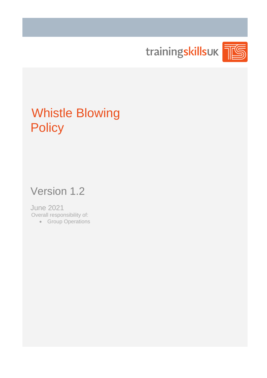

# Whistle Blowing **Policy**

## Version 1.2

June 2021 Overall responsibility of:

• Group Operations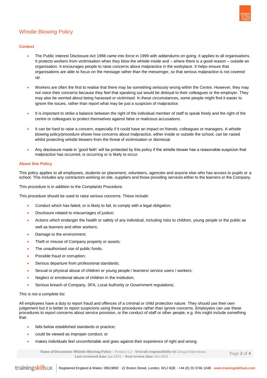

### Whistle Blowing Policy

#### **Context**

- The Public Interest Disclosure Act 1998 came into force in 1999 with addendums on going. It applies to all organisations. It protects workers from victimisation when they blow the whistle inside and – where there is a good reason – outside an organisation. It encourages people to raise concerns about malpractice in the workplace. It helps ensure that organisations are able to focus on the message rather than the messenger, so that serious malpractice is not covered up.
- Workers are often the first to realise that there may be something seriously wrong within the Centre. However, they may not voice their concerns because they feel that speaking out would be disloyal to their colleagues or the employer. They may also be worried about being harassed or victimised. In these circumstances, some people might find it easier to ignore the issues, rather than report what may be just a suspicion of malpractice.
- It is important to strike a balance between the right of the individual member of staff to speak freely and the right of the centre or colleagues to protect themselves against false or malicious accusations.
- It can be hard to raise a concern, especially if it could have an impact on friends, colleagues or managers. A whistle blowing policy/procedure shows how concerns about malpractice, either inside or outside the school, can be raised whilst protecting whistle blowers from the threat of victimisation or dismissal.
- Any disclosure made in 'good faith' will be protected by this policy if the whistle blower has a reasonable suspicion that malpractice has occurred, is occurring or is likely to occur.

#### **About this Policy**

This policy applies to all employees, students on placement, volunteers, agencies and anyone else who has access to pupils or a school. This includes any contractors working on site, suppliers and those providing services either to the learners or the Company.

This procedure is in addition to the Complaints Procedure.

This procedure should be used to raise serious concerns. These include:

- Conduct which has failed, or is likely to fail, to comply with a legal obligation;
- Disclosure related to miscarriages of justice;
- Actions which endanger the health or safety of any individual, including risks to children, young people or the public as well as learners and other workers;
- Damage to the environment;
- Theft or misuse of Company property or assets;
- The unauthorised use of public funds;
- Possible fraud or corruption;
- Serious departure from professional standards;
- Sexual or physical abuse of children or young people / learners/ service users / workers;
- Neglect or emotional abuse of children in the institution;
- Serious breach of Company, SFA, Local Authority or Government regulations;

#### *This is not a complete list.*

All employees have a duty to report fraud and offences of a criminal or child protection nature. They should use their own judgement but it is better to report suspicions using these procedures rather than ignore concerns. Employees can use these procedures to report concerns about service provision, or the conduct of staff or other people; e.g. this might include something that:

- falls below established standards or practice;
- could be viewed as improper conduct; or
- makes individuals feel uncomfortable and goes against their experience of right and wrong.

 **Name of Document: Whistle Blowing Policy** – Version 1.2 – **Overall responsibility of:** Groups Operations **Last reviewed date:** Jun 2021 – **Next review date:** Oct 2021

Page **2** of **4**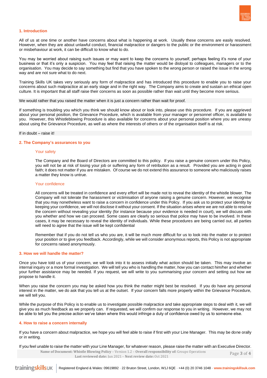

#### **1. Introduction**

All of us at one time or another have concerns about what is happening at work. Usually these concerns are easily resolved. However, when they are about unlawful conduct, financial malpractice or dangers to the public or the environment or harassment or misbehaviour at work, it can be difficult to know what to do.

You may be worried about raising such issues or may want to keep the concerns to yourself, perhaps feeling it's none of your business or that it's only a suspicion. You may feel that raising the matter would be disloyal to colleagues, managers or to the organisation. You may decide to say something but find that you have spoken to the wrong person or raised the issue in the wrong way and are not sure what to do next.

Training Skills UK takes very seriously any form of malpractice and has introduced this procedure to enable you to raise your concerns about such malpractice at an early stage and in the right way. The Company aims to create and sustain an ethical open culture. It is important that all staff raise their concerns as soon as possible rather than wait until they become more serious.

We would rather that you raised the matter when it is just a concern rather than wait for proof.

If something is troubling you which you think we should know about or look into, please use this procedure. If you are aggrieved about your personal position, the Grievance Procedure, which is available from your manager or personnel officer, is available to you. However, this Whistleblowing Procedure is also available for concerns about your personal position where you are uneasy about using the Grievance Procedure, as well as where the interests of others or of the organisation itself is at risk.

If in doubt – raise it!

#### **2. The Company's assurances to you**

#### Your safety

The Company and the Board of Directors are committed to this policy. If you raise a genuine concern under this Policy, you will not be at risk of losing your job or suffering any form of retribution as a result. Provided you are acting in good faith; it does not matter if you are mistaken. Of course we do not extend this assurance to someone who maliciously raises a matter they know is untrue.

#### Your confidence

All concerns will be treated in confidence and every effort will be made not to reveal the identity of the whistle blower. The Company will not tolerate the harassment or victimisation of anyone raising a genuine concern. However, we recognise that you may nonetheless want to raise a concern in confidence under this Policy. If you ask us to protect your identity by keeping your confidence, we will not disclose it without your consent. If the situation arises where we are not able to resolve the concern without revealing your identity (for instance because your evidence is needed in court), we will discuss with you whether and how we can proceed. Some cases are clearly so serious that police may have to be involved. In these cases, it may be necessary to reveal the identity of individuals. While these procedures are being carried out, all parties will need to agree that the issue will be kept confidential

Remember that if you do not tell us who you are, it will be much more difficult for us to look into the matter or to protect your position or to give you feedback. Accordingly, while we will consider anonymous reports, this Policy is not appropriate for concerns raised anonymously.

#### **3. How we will handle the matter?**

Once you have told us of your concern, we will look into it to assess initially what action should be taken. This may involve an internal inquiry or a more formal investigation. We will tell you who is handling the matter, how you can contact him/her and whether your further assistance may be needed. If you request, we will write to you summarising your concern and setting out how we propose to handle it.

When you raise the concern you may be asked how you think the matter might best be resolved. If you do have any personal interest in the matter, we do ask that you tell us at the outset. If your concern falls more properly within the Grievance Procedure, we will tell you.

While the purpose of this Policy is to enable us to investigate possible malpractice and take appropriate steps to deal with it, we will give you as much feedback as we properly can. If requested, we will confirm our response to you in writing. However, we may not be able to tell you the precise action we've taken where this would infringe a duty of confidence owed by us to someone else.

#### **4. How to raise a concern internally**

If you have a concern about malpractice, we hope you will feel able to raise if first with your Line Manager. This may be done orally or in writing.

If you feel unable to raise the matter with your Line Manager, for whatever reason, please raise the matter with an Executive Director.

 **Name of Document: Whistle Blowing Policy** – Version 1.2 – **Overall responsibility of:** Groups Operations **Last reviewed date:** Jun 2021 – **Next review date:** Oct 2021 Page **3** of **4**